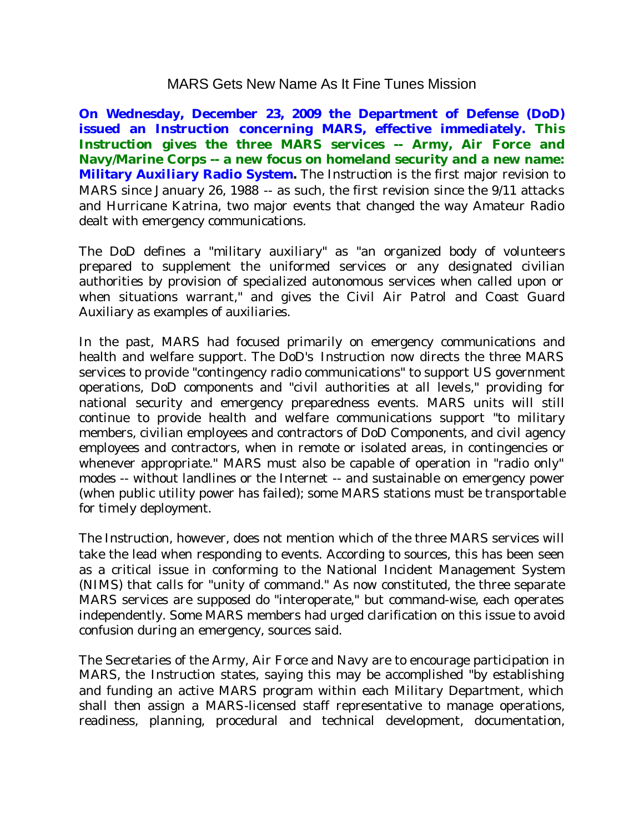## MARS Gets New Name As It Fine Tunes Mission

**On Wednesday, December 23, 2009 the Department of Defense (DoD) issued an** *Instruction* **concerning MARS, effective immediately. This**  *Instruction* **gives the three MARS services -- Army, Air Force and Navy/Marine Corps -- a new focus on homeland security and a new name: Military** *Auxiliary* **Radio System.** The *Instruction* is the first major revision to MARS since January 26, 1988 -- as such, the first revision since the 9/11 attacks and Hurricane Katrina, two major events that changed the way Amateur Radio dealt with emergency communications.

The DoD defines a "military auxiliary" as "an organized body of volunteers prepared to supplement the uniformed services or any designated civilian authorities by provision of specialized autonomous services when called upon or when situations warrant," and gives the Civil Air Patrol and Coast Guard Auxiliary as examples of auxiliaries.

In the past, MARS had focused primarily on emergency communications and health and welfare support. The DoD's *Instruction* now directs the three MARS services to provide "contingency radio communications" to support US government operations, DoD components and "civil authorities at all levels," providing for national security and emergency preparedness events. MARS units will still continue to provide health and welfare communications support "to military members, civilian employees and contractors of DoD Components, and civil agency employees and contractors, when in remote or isolated areas, in contingencies or whenever appropriate." MARS must also be capable of operation in "radio only" modes -- without landlines or the Internet -- and sustainable on emergency power (when public utility power has failed); some MARS stations must be transportable for timely deployment.

The *Instruction*, however, does not mention which of the three MARS services will take the lead when responding to events. According to sources, this has been seen as a critical issue in conforming to the National Incident Management System (NIMS) that calls for "unity of command." As now constituted, the three separate MARS services are supposed do "interoperate," but command-wise, each operates independently. Some MARS members had urged clarification on this issue to avoid confusion during an emergency, sources said.

The Secretaries of the Army, Air Force and Navy are to encourage participation in MARS, the *Instruction* states, saying this may be accomplished "by establishing and funding an active MARS program within each Military Department, which shall then assign a MARS-licensed staff representative to manage operations, readiness, planning, procedural and technical development, documentation,